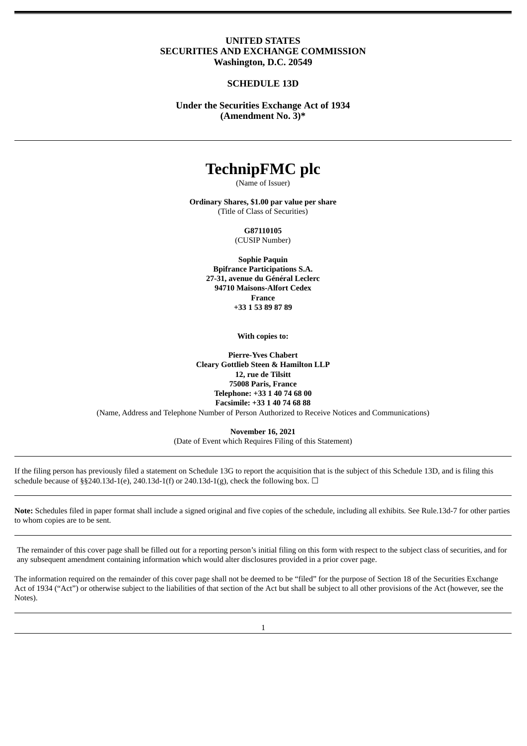## **UNITED STATES SECURITIES AND EXCHANGE COMMISSION Washington, D.C. 20549**

## **SCHEDULE 13D**

**Under the Securities Exchange Act of 1934 (Amendment No. 3)\***

# **TechnipFMC plc**

(Name of Issuer)

**Ordinary Shares, \$1.00 par value per share** (Title of Class of Securities)

**G87110105**

(CUSIP Number)

**Sophie Paquin Bpifrance Participations S.A. 27-31, avenue du Général Leclerc 94710 Maisons-Alfort Cedex France +33 1 53 89 87 89**

**With copies to:**

**Pierre-Yves Chabert Cleary Gottlieb Steen & Hamilton LLP 12, rue de Tilsitt 75008 Paris, France Telephone: +33 1 40 74 68 00 Facsimile: +33 1 40 74 68 88** (Name, Address and Telephone Number of Person Authorized to Receive Notices and Communications)

> **November 16, 2021** (Date of Event which Requires Filing of this Statement)

If the filing person has previously filed a statement on Schedule 13G to report the acquisition that is the subject of this Schedule 13D, and is filing this schedule because of §§240.13d-1(e), 240.13d-1(f) or 240.13d-1(g), check the following box.  $\Box$ 

**Note:** Schedules filed in paper format shall include a signed original and five copies of the schedule, including all exhibits. See Rule.13d-7 for other parties to whom copies are to be sent.

The remainder of this cover page shall be filled out for a reporting person's initial filing on this form with respect to the subject class of securities, and for any subsequent amendment containing information which would alter disclosures provided in a prior cover page.

The information required on the remainder of this cover page shall not be deemed to be "filed" for the purpose of Section 18 of the Securities Exchange Act of 1934 ("Act") or otherwise subject to the liabilities of that section of the Act but shall be subject to all other provisions of the Act (however, see the Notes).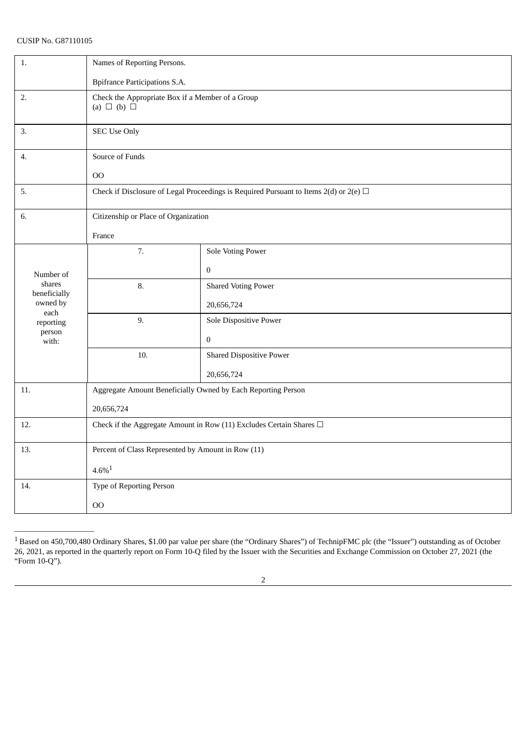| 1.                     | Names of Reporting Persons.                                                                |                                 |  |
|------------------------|--------------------------------------------------------------------------------------------|---------------------------------|--|
|                        | <b>Bpifrance Participations S.A.</b>                                                       |                                 |  |
| 2.                     | Check the Appropriate Box if a Member of a Group<br>(a) $\Box$ (b) $\Box$                  |                                 |  |
| 3.                     | <b>SEC Use Only</b>                                                                        |                                 |  |
| 4.                     | Source of Funds                                                                            |                                 |  |
|                        | 00                                                                                         |                                 |  |
| 5.                     | Check if Disclosure of Legal Proceedings is Required Pursuant to Items 2(d) or 2(e) $\Box$ |                                 |  |
| 6.                     | Citizenship or Place of Organization                                                       |                                 |  |
|                        | France                                                                                     |                                 |  |
|                        | 7.                                                                                         | <b>Sole Voting Power</b>        |  |
| Number of              |                                                                                            | $\boldsymbol{0}$                |  |
| shares<br>beneficially | 8.                                                                                         | <b>Shared Voting Power</b>      |  |
| owned by               |                                                                                            | 20,656,724                      |  |
| each<br>reporting      | 9.                                                                                         | Sole Dispositive Power          |  |
| person<br>with:        |                                                                                            | $\boldsymbol{0}$                |  |
|                        | 10.                                                                                        | <b>Shared Dispositive Power</b> |  |
|                        |                                                                                            | 20,656,724                      |  |
| 11.                    | Aggregate Amount Beneficially Owned by Each Reporting Person                               |                                 |  |
|                        | 20,656,724                                                                                 |                                 |  |
| 12.                    | Check if the Aggregate Amount in Row (11) Excludes Certain Shares $\Box$                   |                                 |  |
| 13.                    | Percent of Class Represented by Amount in Row (11)                                         |                                 |  |
|                        | $4.6\%$ <sup>1</sup>                                                                       |                                 |  |
| 14.                    | Type of Reporting Person                                                                   |                                 |  |
|                        | 00                                                                                         |                                 |  |

 $^1$  Based on 450,700,480 Ordinary Shares, \$1.00 par value per share (the "Ordinary Shares") of TechnipFMC plc (the "Issuer") outstanding as of October 26, 2021, as reported in the quarterly report on Form 10-Q filed by the Issuer with the Securities and Exchange Commission on October 27, 2021 (the "Form 10-Q").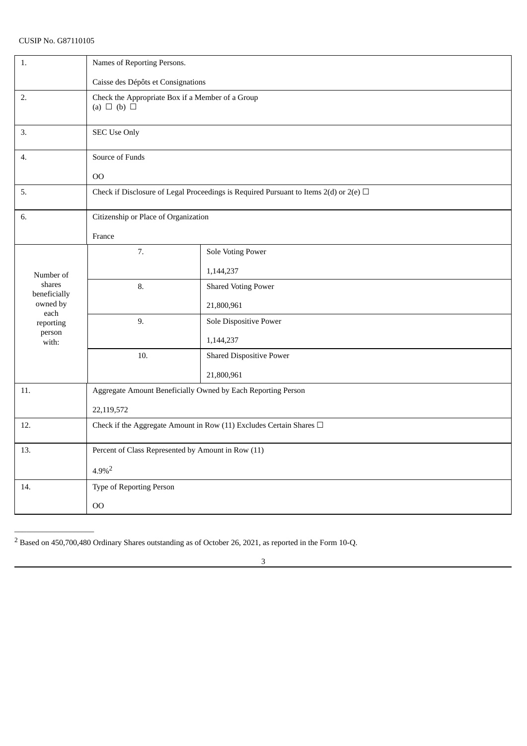| 1.                     | Names of Reporting Persons.                                                                |                                 |  |
|------------------------|--------------------------------------------------------------------------------------------|---------------------------------|--|
|                        | Caisse des Dépôts et Consignations                                                         |                                 |  |
| 2.                     | Check the Appropriate Box if a Member of a Group                                           |                                 |  |
|                        | (a) $\Box$ (b) $\Box$                                                                      |                                 |  |
|                        |                                                                                            |                                 |  |
| 3.                     | <b>SEC Use Only</b>                                                                        |                                 |  |
| 4.                     | Source of Funds                                                                            |                                 |  |
|                        | 00                                                                                         |                                 |  |
| 5.                     | Check if Disclosure of Legal Proceedings is Required Pursuant to Items 2(d) or 2(e) $\Box$ |                                 |  |
|                        |                                                                                            |                                 |  |
| 6.                     | Citizenship or Place of Organization                                                       |                                 |  |
|                        | France                                                                                     |                                 |  |
|                        | 7.                                                                                         | <b>Sole Voting Power</b>        |  |
| Number of              |                                                                                            | 1,144,237                       |  |
| shares<br>beneficially | 8.                                                                                         | <b>Shared Voting Power</b>      |  |
| owned by               |                                                                                            | 21,800,961                      |  |
| each<br>reporting      | 9.                                                                                         | Sole Dispositive Power          |  |
| person<br>with:        |                                                                                            | 1,144,237                       |  |
|                        | 10.                                                                                        | <b>Shared Dispositive Power</b> |  |
|                        |                                                                                            | 21,800,961                      |  |
| 11.                    | Aggregate Amount Beneficially Owned by Each Reporting Person                               |                                 |  |
|                        | 22,119,572                                                                                 |                                 |  |
| 12.                    | Check if the Aggregate Amount in Row (11) Excludes Certain Shares $\Box$                   |                                 |  |
|                        |                                                                                            |                                 |  |
| 13.                    | Percent of Class Represented by Amount in Row (11)                                         |                                 |  |
|                        | $4.9\%$ <sup>2</sup>                                                                       |                                 |  |
| 14.                    | Type of Reporting Person                                                                   |                                 |  |
|                        | 00                                                                                         |                                 |  |

<sup>2</sup> Based on 450,700,480 Ordinary Shares outstanding as of October 26, 2021, as reported in the Form 10-Q.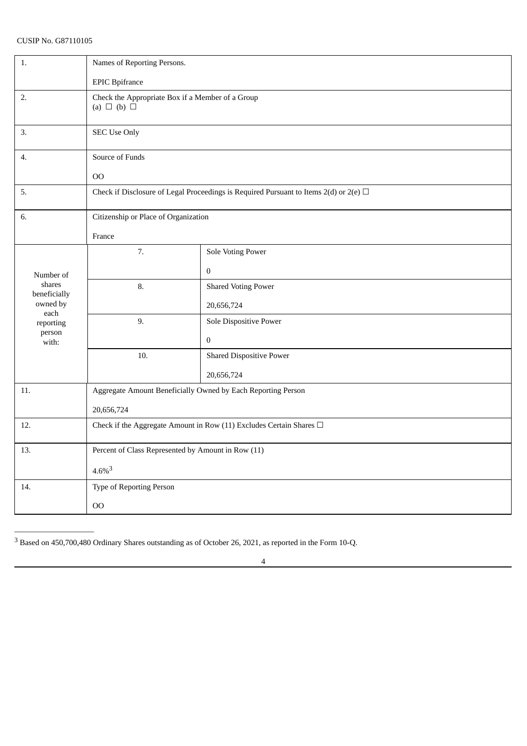| 1.                     | Names of Reporting Persons.                                                                |                                 |  |
|------------------------|--------------------------------------------------------------------------------------------|---------------------------------|--|
|                        | <b>EPIC</b> Bpifrance                                                                      |                                 |  |
| 2.                     | Check the Appropriate Box if a Member of a Group<br>(a) $\Box$ (b) $\Box$                  |                                 |  |
| 3.                     | <b>SEC Use Only</b>                                                                        |                                 |  |
| 4.                     | Source of Funds                                                                            |                                 |  |
|                        | O <sub>O</sub>                                                                             |                                 |  |
| 5.                     | Check if Disclosure of Legal Proceedings is Required Pursuant to Items 2(d) or 2(e) $\Box$ |                                 |  |
| 6.                     | Citizenship or Place of Organization                                                       |                                 |  |
|                        | France                                                                                     |                                 |  |
|                        | 7.                                                                                         | Sole Voting Power               |  |
| Number of              |                                                                                            | $\boldsymbol{0}$                |  |
| shares<br>beneficially | 8.                                                                                         | <b>Shared Voting Power</b>      |  |
| owned by<br>each       |                                                                                            | 20,656,724                      |  |
| reporting              | 9.                                                                                         | Sole Dispositive Power          |  |
| person<br>with:        |                                                                                            | $\boldsymbol{0}$                |  |
|                        | 10.                                                                                        | <b>Shared Dispositive Power</b> |  |
|                        |                                                                                            | 20,656,724                      |  |
| 11.                    | Aggregate Amount Beneficially Owned by Each Reporting Person                               |                                 |  |
|                        | 20,656,724                                                                                 |                                 |  |
| 12.                    | Check if the Aggregate Amount in Row (11) Excludes Certain Shares $\Box$                   |                                 |  |
| 13.                    | Percent of Class Represented by Amount in Row (11)                                         |                                 |  |
|                        | $4.6\%$ <sup>3</sup>                                                                       |                                 |  |
| 14.                    | Type of Reporting Person                                                                   |                                 |  |
|                        | 00                                                                                         |                                 |  |

<sup>3</sup> Based on 450,700,480 Ordinary Shares outstanding as of October 26, 2021, as reported in the Form 10-Q.

4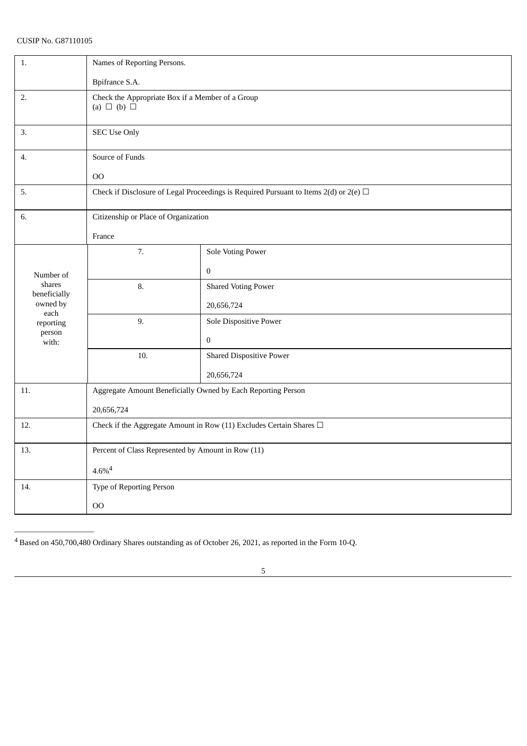| 1.                     | Names of Reporting Persons.                                                                |                                 |  |
|------------------------|--------------------------------------------------------------------------------------------|---------------------------------|--|
|                        | Bpifrance S.A.                                                                             |                                 |  |
| 2.                     | Check the Appropriate Box if a Member of a Group<br>(a) $\Box$ (b) $\Box$                  |                                 |  |
| 3.                     | <b>SEC Use Only</b>                                                                        |                                 |  |
| 4.                     | Source of Funds                                                                            |                                 |  |
|                        | O <sub>O</sub>                                                                             |                                 |  |
| 5.                     | Check if Disclosure of Legal Proceedings is Required Pursuant to Items 2(d) or 2(e) $\Box$ |                                 |  |
| 6.                     | Citizenship or Place of Organization                                                       |                                 |  |
|                        | France                                                                                     |                                 |  |
|                        | 7.                                                                                         | Sole Voting Power               |  |
| Number of              |                                                                                            | $\mathbf 0$                     |  |
| shares<br>beneficially | 8.                                                                                         | <b>Shared Voting Power</b>      |  |
| owned by<br>each       |                                                                                            | 20,656,724                      |  |
| reporting              | 9.                                                                                         | Sole Dispositive Power          |  |
| person<br>with:        |                                                                                            | $\overline{0}$                  |  |
|                        | 10.                                                                                        | <b>Shared Dispositive Power</b> |  |
|                        |                                                                                            | 20,656,724                      |  |
| 11.                    | Aggregate Amount Beneficially Owned by Each Reporting Person                               |                                 |  |
|                        | 20,656,724                                                                                 |                                 |  |
| 12.                    | Check if the Aggregate Amount in Row (11) Excludes Certain Shares $\Box$                   |                                 |  |
| 13.                    | Percent of Class Represented by Amount in Row (11)                                         |                                 |  |
|                        | $4.6\%$ <sup>4</sup>                                                                       |                                 |  |
| 14.                    | Type of Reporting Person                                                                   |                                 |  |
|                        | O <sub>O</sub>                                                                             |                                 |  |

<sup>4</sup> Based on 450,700,480 Ordinary Shares outstanding as of October 26, 2021, as reported in the Form 10-Q.

5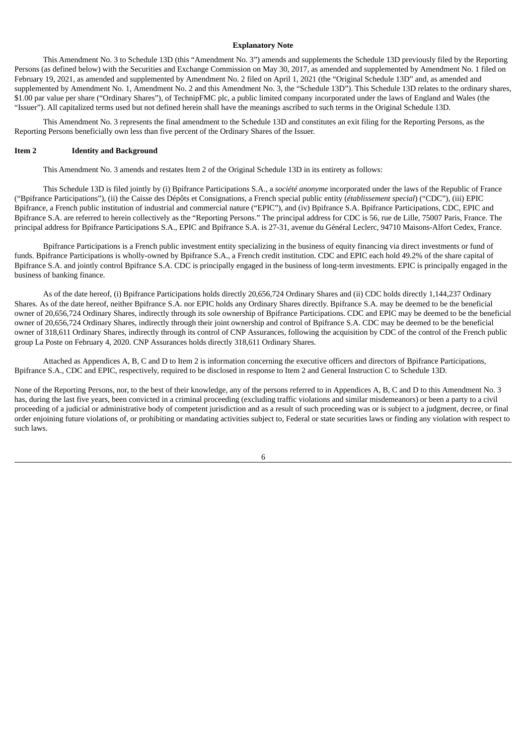#### **Explanatory Note**

This Amendment No. 3 to Schedule 13D (this "Amendment No. 3") amends and supplements the Schedule 13D previously filed by the Reporting Persons (as defined below) with the Securities and Exchange Commission on May 30, 2017, as amended and supplemented by Amendment No. 1 filed on February 19, 2021, as amended and supplemented by Amendment No. 2 filed on April 1, 2021 (the "Original Schedule 13D" and, as amended and supplemented by Amendment No. 1, Amendment No. 2 and this Amendment No. 3, the "Schedule 13D"). This Schedule 13D relates to the ordinary shares, \$1.00 par value per share ("Ordinary Shares"), of TechnipFMC plc, a public limited company incorporated under the laws of England and Wales (the "Issuer"). All capitalized terms used but not defined herein shall have the meanings ascribed to such terms in the Original Schedule 13D.

This Amendment No. 3 represents the final amendment to the Schedule 13D and constitutes an exit filing for the Reporting Persons, as the Reporting Persons beneficially own less than five percent of the Ordinary Shares of the Issuer.

#### **Item 2 Identity and Background**

This Amendment No. 3 amends and restates Item 2 of the Original Schedule 13D in its entirety as follows:

This Schedule 13D is filed jointly by (i) Bpifrance Participations S.A., a *société anonyme* incorporated under the laws of the Republic of France ("Bpifrance Participations"), (ii) the Caisse des Dépôts et Consignations, a French special public entity (*établissement special*) ("CDC"), (iii) EPIC Bpifrance, a French public institution of industrial and commercial nature ("EPIC"), and (iv) Bpifrance S.A. Bpifrance Participations, CDC, EPIC and Bpifrance S.A. are referred to herein collectively as the "Reporting Persons." The principal address for CDC is 56, rue de Lille, 75007 Paris, France. The principal address for Bpifrance Participations S.A., EPIC and Bpifrance S.A. is 27-31, avenue du Général Leclerc, 94710 Maisons-Alfort Cedex, France.

Bpifrance Participations is a French public investment entity specializing in the business of equity financing via direct investments or fund of funds. Bpifrance Participations is wholly-owned by Bpifrance S.A., a French credit institution. CDC and EPIC each hold 49.2% of the share capital of Bpifrance S.A. and jointly control Bpifrance S.A. CDC is principally engaged in the business of long-term investments. EPIC is principally engaged in the business of banking finance.

As of the date hereof, (i) Bpifrance Participations holds directly 20,656,724 Ordinary Shares and (ii) CDC holds directly 1,144,237 Ordinary Shares. As of the date hereof, neither Bpifrance S.A. nor EPIC holds any Ordinary Shares directly. Bpifrance S.A. may be deemed to be the beneficial owner of 20,656,724 Ordinary Shares, indirectly through its sole ownership of Bpifrance Participations. CDC and EPIC may be deemed to be the beneficial owner of 20,656,724 Ordinary Shares, indirectly through their joint ownership and control of Bpifrance S.A. CDC may be deemed to be the beneficial owner of 318,611 Ordinary Shares, indirectly through its control of CNP Assurances, following the acquisition by CDC of the control of the French public group La Poste on February 4, 2020. CNP Assurances holds directly 318,611 Ordinary Shares.

Attached as Appendices A, B, C and D to Item 2 is information concerning the executive officers and directors of Bpifrance Participations, Bpifrance S.A., CDC and EPIC, respectively, required to be disclosed in response to Item 2 and General Instruction C to Schedule 13D.

None of the Reporting Persons, nor, to the best of their knowledge, any of the persons referred to in Appendices A, B, C and D to this Amendment No. 3 has, during the last five years, been convicted in a criminal proceeding (excluding traffic violations and similar misdemeanors) or been a party to a civil proceeding of a judicial or administrative body of competent jurisdiction and as a result of such proceeding was or is subject to a judgment, decree, or final order enjoining future violations of, or prohibiting or mandating activities subject to, Federal or state securities laws or finding any violation with respect to such laws.

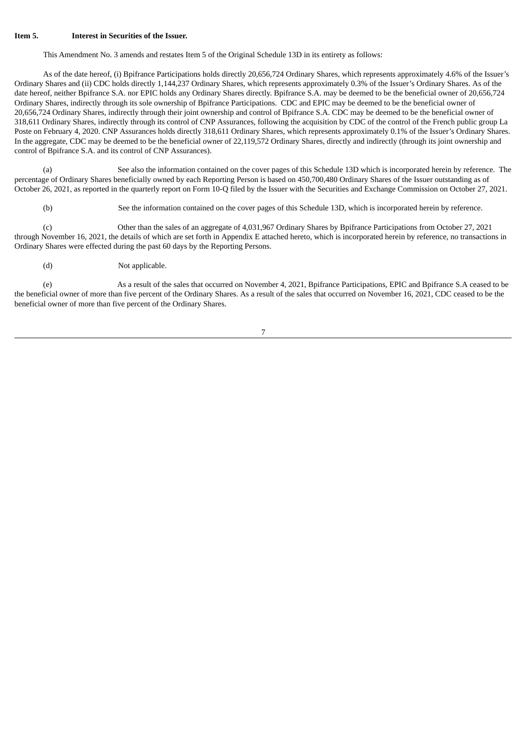#### **Item 5. Interest in Securities of the Issuer.**

This Amendment No. 3 amends and restates Item 5 of the Original Schedule 13D in its entirety as follows:

As of the date hereof, (i) Bpifrance Participations holds directly 20,656,724 Ordinary Shares, which represents approximately 4.6% of the Issuer's Ordinary Shares and (ii) CDC holds directly 1,144,237 Ordinary Shares, which represents approximately 0.3% of the Issuer's Ordinary Shares. As of the date hereof, neither Bpifrance S.A. nor EPIC holds any Ordinary Shares directly. Bpifrance S.A. may be deemed to be the beneficial owner of 20,656,724 Ordinary Shares, indirectly through its sole ownership of Bpifrance Participations. CDC and EPIC may be deemed to be the beneficial owner of 20,656,724 Ordinary Shares, indirectly through their joint ownership and control of Bpifrance S.A. CDC may be deemed to be the beneficial owner of 318,611 Ordinary Shares, indirectly through its control of CNP Assurances, following the acquisition by CDC of the control of the French public group La Poste on February 4, 2020. CNP Assurances holds directly 318,611 Ordinary Shares, which represents approximately 0.1% of the Issuer's Ordinary Shares. In the aggregate, CDC may be deemed to be the beneficial owner of 22,119,572 Ordinary Shares, directly and indirectly (through its joint ownership and control of Bpifrance S.A. and its control of CNP Assurances).

(a) See also the information contained on the cover pages of this Schedule 13D which is incorporated herein by reference. The percentage of Ordinary Shares beneficially owned by each Reporting Person is based on 450,700,480 Ordinary Shares of the Issuer outstanding as of October 26, 2021, as reported in the quarterly report on Form 10-Q filed by the Issuer with the Securities and Exchange Commission on October 27, 2021.

(b) See the information contained on the cover pages of this Schedule 13D, which is incorporated herein by reference.

(c) Other than the sales of an aggregate of 4,031,967 Ordinary Shares by Bpifrance Participations from October 27, 2021 through November 16, 2021, the details of which are set forth in Appendix E attached hereto, which is incorporated herein by reference, no transactions in Ordinary Shares were effected during the past 60 days by the Reporting Persons.

(d) Not applicable.

(e) As a result of the sales that occurred on November 4, 2021, Bpifrance Participations, EPIC and Bpifrance S.A ceased to be the beneficial owner of more than five percent of the Ordinary Shares. As a result of the sales that occurred on November 16, 2021, CDC ceased to be the beneficial owner of more than five percent of the Ordinary Shares.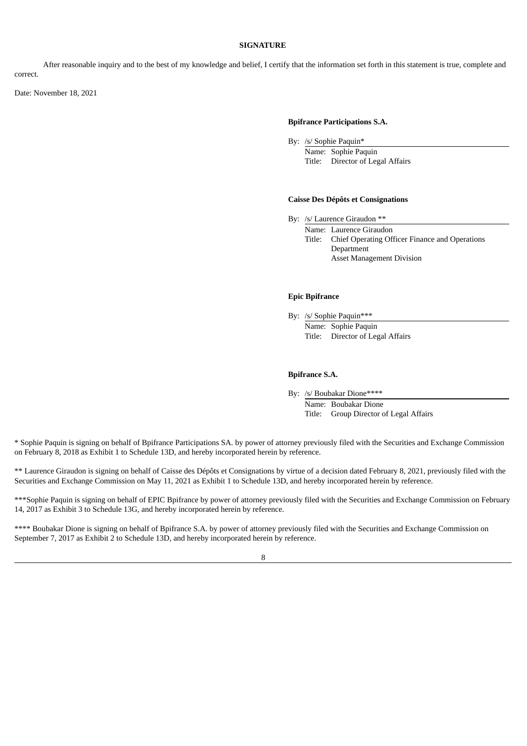#### **SIGNATURE**

After reasonable inquiry and to the best of my knowledge and belief, I certify that the information set forth in this statement is true, complete and correct.

Date: November 18, 2021

#### **Bpifrance Participations S.A.**

By: /s/ Sophie Paquin\*

Name: Sophie Paquin Title: Director of Legal Affairs

#### **Caisse Des Dépôts et Consignations**

By: /s/ Laurence Giraudon \*\*

Name: Laurence Giraudon Title: Chief Operating Officer Finance and Operations Department Asset Management Division

## **Epic Bpifrance**

By: /s/ Sophie Paquin\*\*\*

Name: Sophie Paquin Title: Director of Legal Affairs

#### **Bpifrance S.A.**

By: /s/ Boubakar Dione\*\*\*\*

Name: Boubakar Dione Title: Group Director of Legal Affairs

\* Sophie Paquin is signing on behalf of Bpifrance Participations SA. by power of attorney previously filed with the Securities and Exchange Commission on February 8, 2018 as Exhibit 1 to Schedule 13D, and hereby incorporated herein by reference.

\*\* Laurence Giraudon is signing on behalf of Caisse des Dépôts et Consignations by virtue of a decision dated February 8, 2021, previously filed with the Securities and Exchange Commission on May 11, 2021 as Exhibit 1 to Schedule 13D, and hereby incorporated herein by reference.

\*\*\*Sophie Paquin is signing on behalf of EPIC Bpifrance by power of attorney previously filed with the Securities and Exchange Commission on February 14, 2017 as Exhibit 3 to Schedule 13G, and hereby incorporated herein by reference.

\*\*\*\* Boubakar Dione is signing on behalf of Bpifrance S.A. by power of attorney previously filed with the Securities and Exchange Commission on September 7, 2017 as Exhibit 2 to Schedule 13D, and hereby incorporated herein by reference.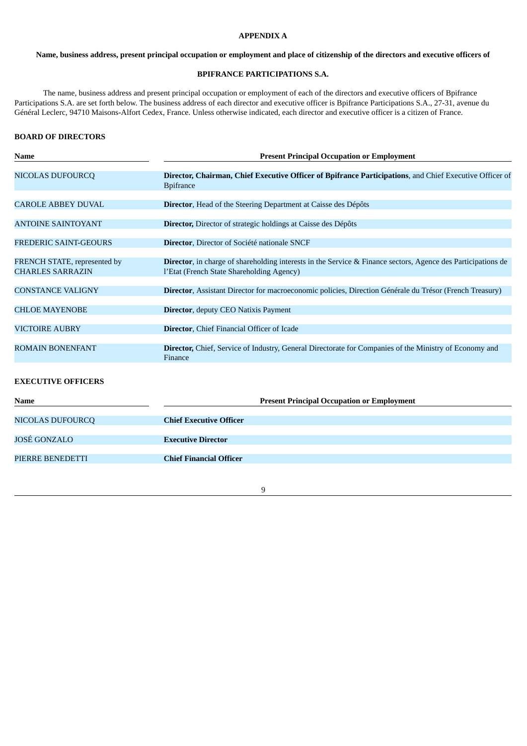# **APPENDIX A**

#### Name, business address, present principal occupation or employment and place of citizenship of the directors and executive officers of

#### **BPIFRANCE PARTICIPATIONS S.A.**

The name, business address and present principal occupation or employment of each of the directors and executive officers of Bpifrance Participations S.A. are set forth below. The business address of each director and executive officer is Bpifrance Participations S.A., 27-31, avenue du Général Leclerc, 94710 Maisons-Alfort Cedex, France. Unless otherwise indicated, each director and executive officer is a citizen of France.

#### **BOARD OF DIRECTORS**

| <b>Name</b>                                             | <b>Present Principal Occupation or Employment</b>                                                                                                                 |  |  |
|---------------------------------------------------------|-------------------------------------------------------------------------------------------------------------------------------------------------------------------|--|--|
| <b>NICOLAS DUFOURCQ</b>                                 | Director, Chairman, Chief Executive Officer of Bpifrance Participations, and Chief Executive Officer of<br><b>Bpifrance</b>                                       |  |  |
| <b>CAROLE ABBEY DUVAL</b>                               | Director, Head of the Steering Department at Caisse des Dépôts                                                                                                    |  |  |
| <b>ANTOINE SAINTOYANT</b>                               | Director, Director of strategic holdings at Caisse des Dépôts                                                                                                     |  |  |
| <b>FREDERIC SAINT-GEOURS</b>                            | Director, Director of Société nationale SNCF                                                                                                                      |  |  |
| FRENCH STATE, represented by<br><b>CHARLES SARRAZIN</b> | <b>Director</b> , in charge of shareholding interests in the Service & Finance sectors, Agence des Participations de<br>l'Etat (French State Shareholding Agency) |  |  |
| <b>CONSTANCE VALIGNY</b>                                | Director, Assistant Director for macroeconomic policies, Direction Générale du Trésor (French Treasury)                                                           |  |  |
| <b>CHLOE MAYENOBE</b>                                   | Director, deputy CEO Natixis Payment                                                                                                                              |  |  |
| <b>VICTOIRE AUBRY</b>                                   | Director, Chief Financial Officer of Icade                                                                                                                        |  |  |
| <b>ROMAIN BONENFANT</b>                                 | Director, Chief, Service of Industry, General Directorate for Companies of the Ministry of Economy and<br>Finance                                                 |  |  |
| <b>EXECUTIVE OFFICERS</b>                               |                                                                                                                                                                   |  |  |
| Name                                                    | <b>Present Principal Occupation or Employment</b>                                                                                                                 |  |  |
|                                                         | <b>Chief Executive Officer</b>                                                                                                                                    |  |  |
| NICOLAS DUFOURCQ                                        |                                                                                                                                                                   |  |  |
| <b>JOSÉ GONZALO</b>                                     | <b>Executive Director</b>                                                                                                                                         |  |  |
| PIERRE BENEDETTI                                        | <b>Chief Financial Officer</b>                                                                                                                                    |  |  |
|                                                         |                                                                                                                                                                   |  |  |

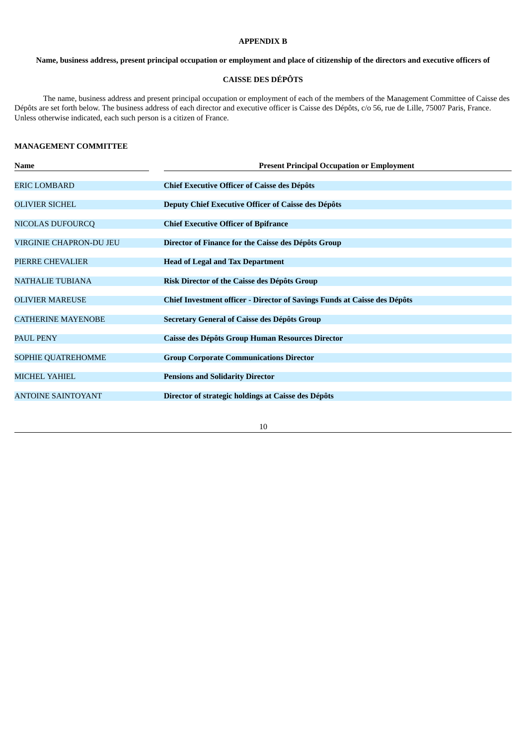#### **APPENDIX B**

Name, business address, present principal occupation or employment and place of citizenship of the directors and executive officers of

# **CAISSE DES DÉPÔTS**

The name, business address and present principal occupation or employment of each of the members of the Management Committee of Caisse des Dépôts are set forth below. The business address of each director and executive officer is Caisse des Dépôts, c/o 56, rue de Lille, 75007 Paris, France. Unless otherwise indicated, each such person is a citizen of France.

## **MANAGEMENT COMMITTEE**

| Name                           | <b>Present Principal Occupation or Employment</b>                                |  |  |
|--------------------------------|----------------------------------------------------------------------------------|--|--|
| ERIC LOMBARD                   | <b>Chief Executive Officer of Caisse des Dépôts</b>                              |  |  |
| <b>OLIVIER SICHEL</b>          | Deputy Chief Executive Officer of Caisse des Dépôts                              |  |  |
| <b>NICOLAS DUFOURCQ</b>        | <b>Chief Executive Officer of Bpifrance</b>                                      |  |  |
| <b>VIRGINIE CHAPRON-DU JEU</b> | Director of Finance for the Caisse des Dépôts Group                              |  |  |
| PIERRE CHEVALIER               | <b>Head of Legal and Tax Department</b>                                          |  |  |
| <b>NATHALIE TUBIANA</b>        | Risk Director of the Caisse des Dépôts Group                                     |  |  |
| <b>OLIVIER MAREUSE</b>         | <b>Chief Investment officer - Director of Savings Funds at Caisse des Dépôts</b> |  |  |
| <b>CATHERINE MAYENOBE</b>      | Secretary General of Caisse des Dépôts Group                                     |  |  |
| <b>PAUL PENY</b>               | Caisse des Dépôts Group Human Resources Director                                 |  |  |
| SOPHIE QUATREHOMME             | <b>Group Corporate Communications Director</b>                                   |  |  |
| <b>MICHEL YAHIEL</b>           | <b>Pensions and Solidarity Director</b>                                          |  |  |
| <b>ANTOINE SAINTOYANT</b>      | Director of strategic holdings at Caisse des Dépôts                              |  |  |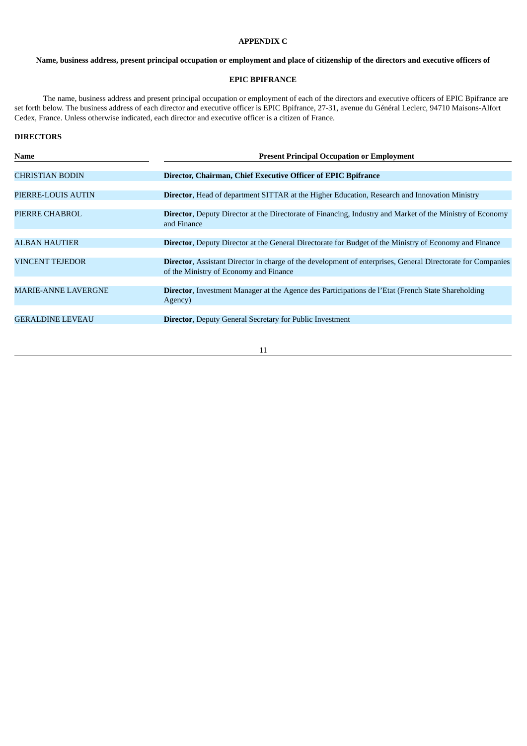#### **APPENDIX C**

## Name, business address, present principal occupation or employment and place of citizenship of the directors and executive officers of

#### **EPIC BPIFRANCE**

The name, business address and present principal occupation or employment of each of the directors and executive officers of EPIC Bpifrance are set forth below. The business address of each director and executive officer is EPIC Bpifrance, 27-31, avenue du Général Leclerc, 94710 Maisons-Alfort Cedex, France. Unless otherwise indicated, each director and executive officer is a citizen of France.

#### **DIRECTORS**

| Name                       | <b>Present Principal Occupation or Employment</b>                                                                                                            |  |  |
|----------------------------|--------------------------------------------------------------------------------------------------------------------------------------------------------------|--|--|
|                            |                                                                                                                                                              |  |  |
| <b>CHRISTIAN BODIN</b>     | Director, Chairman, Chief Executive Officer of EPIC Bpifrance                                                                                                |  |  |
|                            |                                                                                                                                                              |  |  |
| PIERRE-LOUIS AUTIN         | <b>Director, Head of department SITTAR at the Higher Education, Research and Innovation Ministry</b>                                                         |  |  |
|                            |                                                                                                                                                              |  |  |
| PIERRE CHABROL             | <b>Director, Deputy Director at the Directorate of Financing, Industry and Market of the Ministry of Economy</b><br>and Finance                              |  |  |
|                            |                                                                                                                                                              |  |  |
| <b>ALBAN HAUTIER</b>       | <b>Director, Deputy Director at the General Directorate for Budget of the Ministry of Economy and Finance</b>                                                |  |  |
|                            |                                                                                                                                                              |  |  |
| <b>VINCENT TEJEDOR</b>     | <b>Director, Assistant Director in charge of the development of enterprises, General Directorate for Companies</b><br>of the Ministry of Economy and Finance |  |  |
|                            |                                                                                                                                                              |  |  |
| <b>MARIE-ANNE LAVERGNE</b> | <b>Director, Investment Manager at the Agence des Participations de l'Etat (French State Shareholding</b><br>Agency)                                         |  |  |
|                            |                                                                                                                                                              |  |  |
| <b>GERALDINE LEVEAU</b>    | <b>Director, Deputy General Secretary for Public Investment</b>                                                                                              |  |  |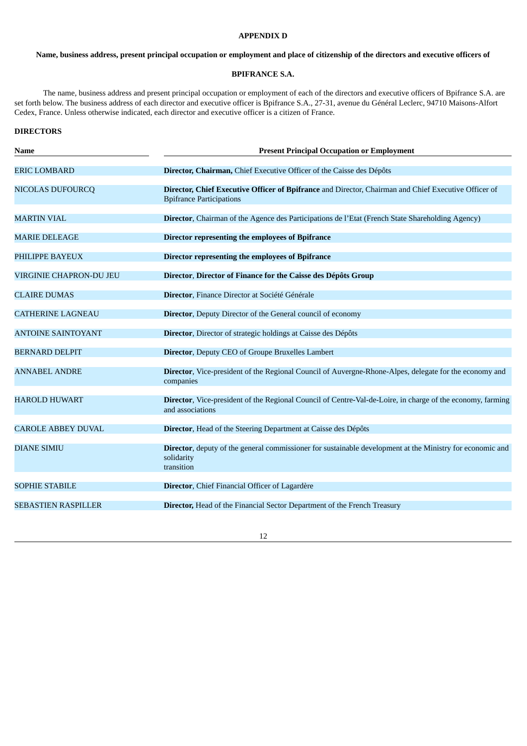# **APPENDIX D**

## Name, business address, present principal occupation or employment and place of citizenship of the directors and executive officers of

#### **BPIFRANCE S.A.**

The name, business address and present principal occupation or employment of each of the directors and executive officers of Bpifrance S.A. are set forth below. The business address of each director and executive officer is Bpifrance S.A., 27-31, avenue du Général Leclerc, 94710 Maisons-Alfort Cedex, France. Unless otherwise indicated, each director and executive officer is a citizen of France.

#### **DIRECTORS**

| <b>Name</b>                | <b>Present Principal Occupation or Employment</b>                                                                                       |  |  |
|----------------------------|-----------------------------------------------------------------------------------------------------------------------------------------|--|--|
| <b>ERIC LOMBARD</b>        | Director, Chairman, Chief Executive Officer of the Caisse des Dépôts                                                                    |  |  |
| <b>NICOLAS DUFOURCQ</b>    | Director, Chief Executive Officer of Bpifrance and Director, Chairman and Chief Executive Officer of<br><b>Bpifrance Participations</b> |  |  |
| <b>MARTIN VIAL</b>         | Director, Chairman of the Agence des Participations de l'Etat (French State Shareholding Agency)                                        |  |  |
| <b>MARIE DELEAGE</b>       | Director representing the employees of Bpifrance                                                                                        |  |  |
| PHILIPPE BAYEUX            | Director representing the employees of Bpifrance                                                                                        |  |  |
| VIRGINIE CHAPRON-DU JEU    | Director, Director of Finance for the Caisse des Dépôts Group                                                                           |  |  |
| <b>CLAIRE DUMAS</b>        | Director, Finance Director at Société Générale                                                                                          |  |  |
| <b>CATHERINE LAGNEAU</b>   | <b>Director</b> , Deputy Director of the General council of economy                                                                     |  |  |
| <b>ANTOINE SAINTOYANT</b>  | Director, Director of strategic holdings at Caisse des Dépôts                                                                           |  |  |
| <b>BERNARD DELPIT</b>      | <b>Director, Deputy CEO of Groupe Bruxelles Lambert</b>                                                                                 |  |  |
| <b>ANNABEL ANDRE</b>       | Director, Vice-president of the Regional Council of Auvergne-Rhone-Alpes, delegate for the economy and<br>companies                     |  |  |
| <b>HAROLD HUWART</b>       | <b>Director</b> , Vice-president of the Regional Council of Centre-Val-de-Loire, in charge of the economy, farming<br>and associations  |  |  |
| <b>CAROLE ABBEY DUVAL</b>  | Director, Head of the Steering Department at Caisse des Dépôts                                                                          |  |  |
| <b>DIANE SIMIU</b>         | Director, deputy of the general commissioner for sustainable development at the Ministry for economic and<br>solidarity<br>transition   |  |  |
| <b>SOPHIE STABILE</b>      | Director, Chief Financial Officer of Lagardère                                                                                          |  |  |
|                            |                                                                                                                                         |  |  |
| <b>SEBASTIEN RASPILLER</b> | <b>Director, Head of the Financial Sector Department of the French Treasury</b>                                                         |  |  |